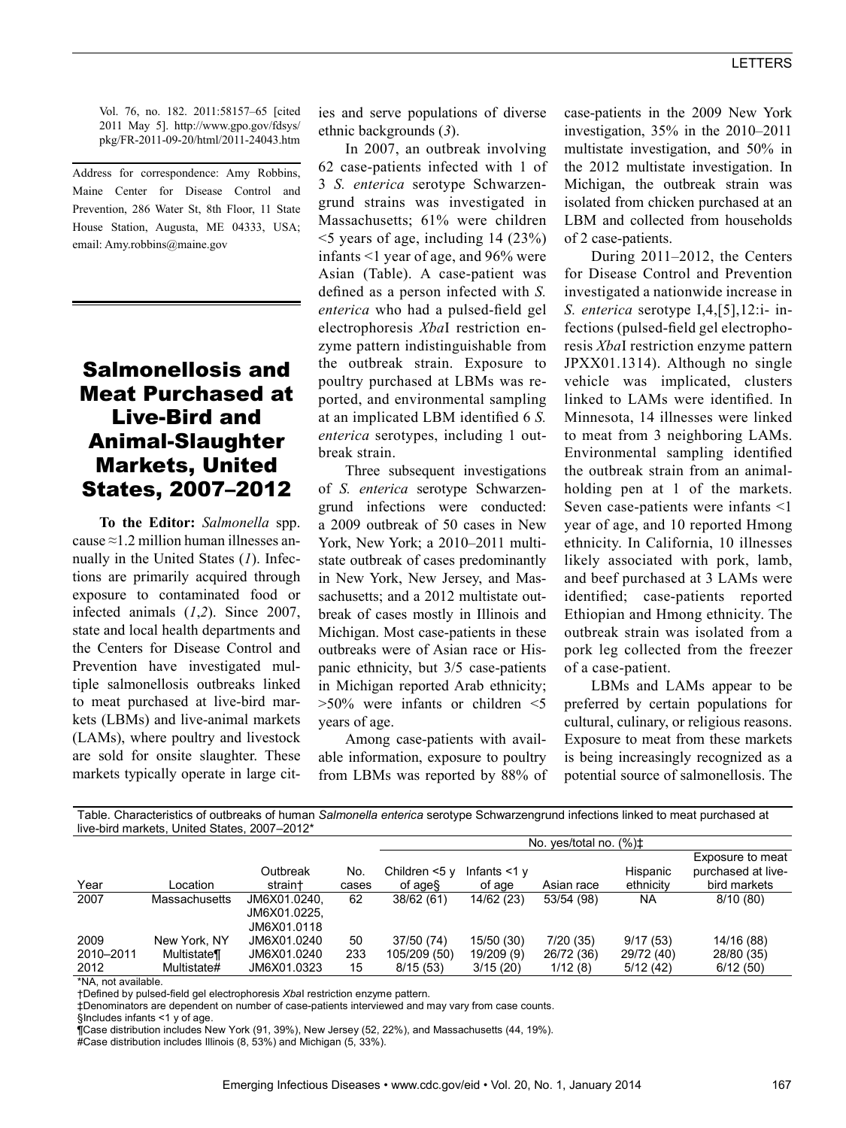Vol. 76, no. 182. 2011:58157–65 [cited 2011 May 5]. http://www.gpo.gov/fdsys/ pkg/FR-2011-09-20/html/2011-24043.htm

Address for correspondence: Amy Robbins, Maine Center for Disease Control and Prevention, 286 Water St, 8th Floor, 11 State House Station, Augusta, ME 04333, USA; email: Amy.robbins@maine.gov

# Salmonellosis and Meat Purchased at Live-Bird and Animal-Slaughter Markets, United States, 2007–2012

**To the Editor:** *Salmonella* spp. cause ≈1.2 million human illnesses annually in the United States (*1*). Infections are primarily acquired through exposure to contaminated food or infected animals (*1*,*2*). Since 2007, state and local health departments and the Centers for Disease Control and Prevention have investigated multiple salmonellosis outbreaks linked to meat purchased at live-bird markets (LBMs) and live-animal markets (LAMs), where poultry and livestock are sold for onsite slaughter. These markets typically operate in large cities and serve populations of diverse ethnic backgrounds (*3*).

In 2007, an outbreak involving 62 case-patients infected with 1 of 3 *S. enterica* serotype Schwarzengrund strains was investigated in Massachusetts; 61% were children <5 years of age, including 14 (23%) infants <1 year of age, and 96% were Asian (Table). A case-patient was defined as a person infected with *S. enterica* who had a pulsed-field gel electrophoresis *Xba*I restriction enzyme pattern indistinguishable from the outbreak strain. Exposure to poultry purchased at LBMs was reported, and environmental sampling at an implicated LBM identified 6 *S. enterica* serotypes, including 1 outbreak strain.

Three subsequent investigations of *S. enterica* serotype Schwarzengrund infections were conducted: a 2009 outbreak of 50 cases in New York, New York; a 2010–2011 multistate outbreak of cases predominantly in New York, New Jersey, and Massachusetts; and a 2012 multistate outbreak of cases mostly in Illinois and Michigan. Most case-patients in these outbreaks were of Asian race or Hispanic ethnicity, but 3/5 case-patients in Michigan reported Arab ethnicity; >50% were infants or children <5 years of age.

Among case-patients with available information, exposure to poultry from LBMs was reported by 88% of case-patients in the 2009 New York investigation, 35% in the 2010–2011 multistate investigation, and 50% in the 2012 multistate investigation. In Michigan, the outbreak strain was isolated from chicken purchased at an LBM and collected from households of 2 case-patients.

During 2011–2012, the Centers for Disease Control and Prevention investigated a nationwide increase in *S. enterica* serotype I,4,[5],12:i- infections (pulsed-field gel electrophoresis *Xba*I restriction enzyme pattern JPXX01.1314). Although no single vehicle was implicated, clusters linked to LAMs were identified. In Minnesota, 14 illnesses were linked to meat from 3 neighboring LAMs. Environmental sampling identified the outbreak strain from an animalholding pen at 1 of the markets. Seven case-patients were infants <1 year of age, and 10 reported Hmong ethnicity. In California, 10 illnesses likely associated with pork, lamb, and beef purchased at 3 LAMs were identified; case-patients reported Ethiopian and Hmong ethnicity. The outbreak strain was isolated from a pork leg collected from the freezer of a case-patient.

LBMs and LAMs appear to be preferred by certain populations for cultural, culinary, or religious reasons. Exposure to meat from these markets is being increasingly recognized as a potential source of salmonellosis. The

Table. Characteristics of outbreaks of human *Salmonella enterica* serotype Schwarzengrund infections linked to meat purchased at live-bird markets, United States, 2007–2012\*

|           |               |                     |              | No. yes/total no. $(\% )\pm$            |                           |            |                       |                                                        |
|-----------|---------------|---------------------|--------------|-----------------------------------------|---------------------------|------------|-----------------------|--------------------------------------------------------|
| Year      | Location      | Outbreak<br>strain+ | No.<br>cases | Children $<$ 5 y<br>of age <sup>S</sup> | Infants $<$ 1 y<br>of age | Asian race | Hispanic<br>ethnicity | Exposure to meat<br>purchased at live-<br>bird markets |
| 2007      | Massachusetts | JM6X01.0240.        | 62           | 38/62 (61)                              | 14/62 (23)                | 53/54 (98) | NA.                   | 8/10(80)                                               |
|           |               | JM6X01.0225,        |              |                                         |                           |            |                       |                                                        |
|           |               | JM6X01.0118         |              |                                         |                           |            |                       |                                                        |
| 2009      | New York, NY  | JM6X01.0240         | 50           | 37/50 (74)                              | 15/50 (30)                | 7/20(35)   | 9/17(53)              | 14/16 (88)                                             |
| 2010-2011 | Multistate¶   | JM6X01.0240         | 233          | 105/209 (50)                            | 19/209 (9)                | 26/72 (36) | 29/72 (40)            | 28/80 (35)                                             |
| 2012      | Multistate#   | JM6X01.0323         | 15           | 8/15(53)                                | 3/15(20)                  | 1/12(8)    | 5/12(42)              | 6/12(50)                                               |

\*NA, not available.

†Defined by pulsed-field gel electrophoresis *Xba*I restriction enzyme pattern.

‡Denominators are dependent on number of case-patients interviewed and may vary from case counts.

 $$$ Includes infants <1  $y$  of age.

TCase distribution includes New York (91, 39%), New Jersey (52, 22%), and Massachusetts (44, 19%).

 $\text{\#Case}$  distribution includes Illinois (8, 53%) and Michigan (5, 33%).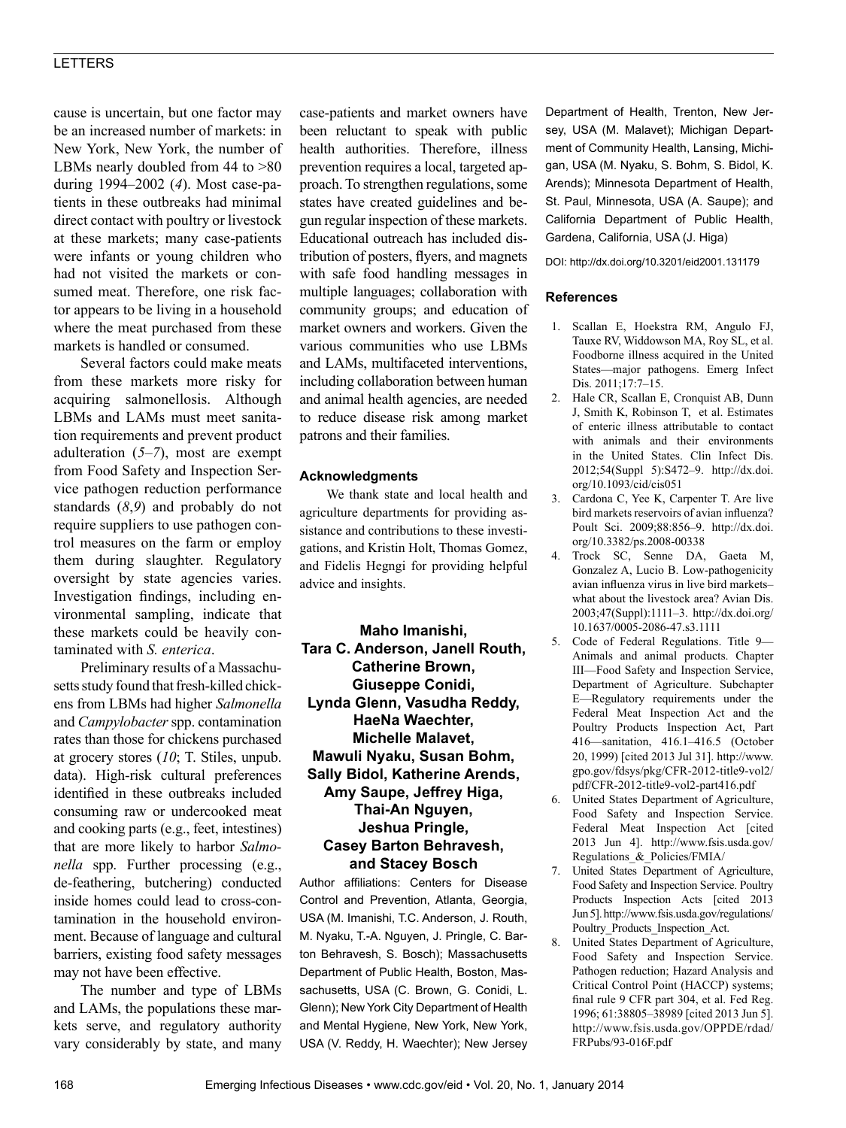### LETTERS

cause is uncertain, but one factor may be an increased number of markets: in New York, New York, the number of LBMs nearly doubled from 44 to >80 during 1994–2002 (*4*). Most case-patients in these outbreaks had minimal direct contact with poultry or livestock at these markets; many case-patients were infants or young children who had not visited the markets or consumed meat. Therefore, one risk factor appears to be living in a household where the meat purchased from these markets is handled or consumed.

Several factors could make meats from these markets more risky for acquiring salmonellosis. Although LBMs and LAMs must meet sanitation requirements and prevent product adulteration (*5*–*7*), most are exempt from Food Safety and Inspection Service pathogen reduction performance standards (*8*,*9*) and probably do not require suppliers to use pathogen control measures on the farm or employ them during slaughter. Regulatory oversight by state agencies varies. Investigation findings, including environmental sampling, indicate that these markets could be heavily contaminated with *S. enterica*.

Preliminary results of a Massachusetts study found that fresh-killed chickens from LBMs had higher *Salmonella* and *Campylobacter* spp. contamination rates than those for chickens purchased at grocery stores (*10*; T. Stiles, unpub. data). High-risk cultural preferences identified in these outbreaks included consuming raw or undercooked meat and cooking parts (e.g., feet, intestines) that are more likely to harbor *Salmonella* spp. Further processing (e.g., de-feathering, butchering) conducted inside homes could lead to cross-contamination in the household environment. Because of language and cultural barriers, existing food safety messages may not have been effective.

The number and type of LBMs and LAMs, the populations these markets serve, and regulatory authority vary considerably by state, and many case-patients and market owners have been reluctant to speak with public health authorities. Therefore, illness prevention requires a local, targeted approach. To strengthen regulations, some states have created guidelines and begun regular inspection of these markets. Educational outreach has included distribution of posters, flyers, and magnets with safe food handling messages in multiple languages; collaboration with community groups; and education of market owners and workers. Given the various communities who use LBMs and LAMs, multifaceted interventions, including collaboration between human and animal health agencies, are needed to reduce disease risk among market patrons and their families.

### **Acknowledgments**

We thank state and local health and agriculture departments for providing assistance and contributions to these investigations, and Kristin Holt, Thomas Gomez, and Fidelis Hegngi for providing helpful advice and insights.

**Maho Imanishi, Tara C. Anderson, Janell Routh, Catherine Brown, Giuseppe Conidi, Lynda Glenn, Vasudha Reddy, HaeNa Waechter, Michelle Malavet, Mawuli Nyaku, Susan Bohm, Sally Bidol, Katherine Arends, Amy Saupe, Jeffrey Higa, Thai-An Nguyen, Jeshua Pringle, Casey Barton Behravesh, and Stacey Bosch**

Author affiliations: Centers for Disease Control and Prevention, Atlanta, Georgia, USA (M. Imanishi, T.C. Anderson, J. Routh, M. Nyaku, T.-A. Nguyen, J. Pringle, C. Barton Behravesh, S. Bosch); Massachusetts Department of Public Health, Boston, Massachusetts, USA (C. Brown, G. Conidi, L. Glenn); New York City Department of Health and Mental Hygiene, New York, New York, USA (V. Reddy, H. Waechter); New Jersey

Department of Health, Trenton, New Jersey, USA (M. Malavet); Michigan Department of Community Health, Lansing, Michigan, USA (M. Nyaku, S. Bohm, S. Bidol, K. Arends); Minnesota Department of Health, St. Paul, Minnesota, USA (A. Saupe); and California Department of Public Health, Gardena, California, USA (J. Higa)

DOI: http://dx.doi.org/10.3201/eid2001.131179

#### **References**

- 1. Scallan E, Hoekstra RM, Angulo FJ, Tauxe RV, Widdowson MA, Roy SL, et al. Foodborne illness acquired in the United States—major pathogens. Emerg Infect Dis. 2011;17:7-15.
- Hale CR, Scallan E, Cronquist AB, Dunn J, Smith K, Robinson T, et al. Estimates of enteric illness attributable to contact with animals and their environments in the United States. Clin Infect Dis. 2012;54(Suppl 5):S472–9. http://dx.doi. org/10.1093/cid/cis051
- 3. Cardona C, Yee K, Carpenter T. Are live bird markets reservoirs of avian influenza? Poult Sci. 2009;88:856–9. http://dx.doi. org/10.3382/ps.2008-00338
- 4. Trock SC, Senne DA, Gaeta M, Gonzalez A, Lucio B. Low-pathogenicity avian influenza virus in live bird markets– what about the livestock area? Avian Dis. 2003;47(Suppl):1111–3. http://dx.doi.org/ 10.1637/0005-2086-47.s3.1111
- 5. Code of Federal Regulations. Title 9— Animals and animal products. Chapter III—Food Safety and Inspection Service, Department of Agriculture. Subchapter E—Regulatory requirements under the Federal Meat Inspection Act and the Poultry Products Inspection Act, Part 416—sanitation, 416.1–416.5 (October 20, 1999) [cited 2013 Jul 31]. http://www. gpo.gov/fdsys/pkg/CFR-2012-title9-vol2/ pdf/CFR-2012-title9-vol2-part416.pdf
- 6. United States Department of Agriculture, Food Safety and Inspection Service. Federal Meat Inspection Act [cited 2013 Jun 4]. http://www.fsis.usda.gov/ Regulations\_&\_Policies/FMIA/
- 7. United States Department of Agriculture, Food Safety and Inspection Service. Poultry Products Inspection Acts [cited 2013 Jun 5]. http://www.fsis.usda.gov/regulations/ Poultry\_Products\_Inspection\_Act.
- 8. United States Department of Agriculture, Food Safety and Inspection Service. Pathogen reduction; Hazard Analysis and Critical Control Point (HACCP) systems; final rule 9 CFR part 304, et al. Fed Reg. 1996; 61:38805–38989 [cited 2013 Jun 5]. http://www.fsis.usda.gov/OPPDE/rdad/ FRPubs/93-016F.pdf